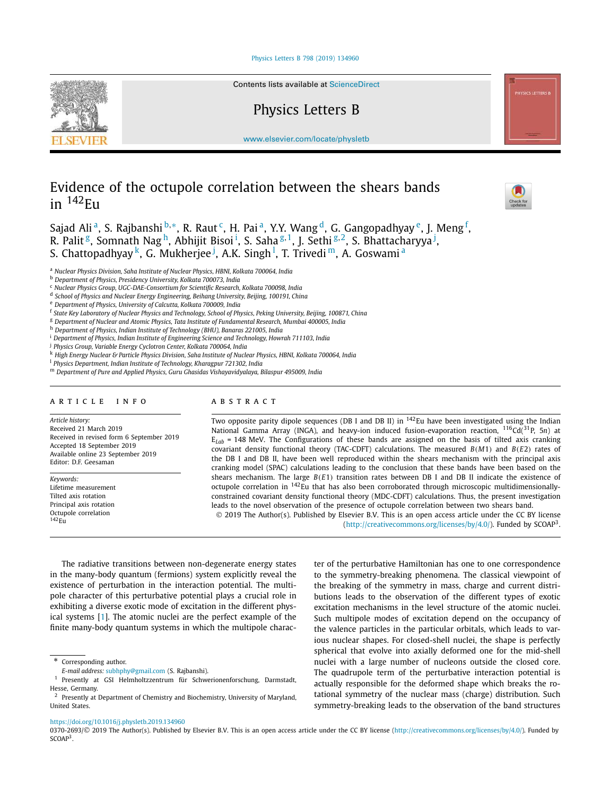# Physics Letters B 798 (2019) 134960



Contents lists available at ScienceDirect

# Physics Letters B

www.elsevier.com/locate/physletb

# Evidence of the octupole correlation between the shears bands in  $142$ <sub>Eu</sub>



Sajad Alia, S. Rajbanshi <sup>b,</sup>\*, R. Raut <sup>c</sup>, H. Paia, Y.Y. Wang <sup>d</sup>, G. Gangopadhyay <sup>e</sup>, J. Meng <sup>f</sup>, R. Palit <sup>g</sup>, Somnath Nag <sup>h</sup>, Abhijit Bisoi <sup>i</sup>, S. Saha <sup>g, 1</sup>, J. Sethi <sup>g, 2</sup>, S. Bhattacharyya <sup>j</sup>, S. Chattopadhyay <sup>k</sup>, G. Mukherjee <sup>j</sup>, A.K. Singh <sup>l</sup>, T. Trivedi m, A. Goswami <sup>a</sup>

<sup>a</sup> *Nuclear Physics Division, Saha Institute of Nuclear Physics, HBNI, Kolkata 700064, India*

<sup>j</sup> *Physics Group, Variable Energy Cyclotron Center, Kolkata 700064, India*

k High Energy Nuclear & Particle Physics Division, Saha Institute of Nuclear Physics, HBNI, Kolkata 700064, India

<sup>l</sup> *Physics Department, Indian Institute of Technology, Kharagpur 721302, India*

### A R T I C L E I N F O A B S T R A C T

*Article history:* Received 21 March 2019 Received in revised form 6 September 2019 Accepted 18 September 2019 Available online 23 September 2019 Editor: D.F. Geesaman

*Keywords:* Lifetime measurement Tilted axis rotation Principal axis rotation Octupole correlation  $142$ Eu

Two opposite parity dipole sequences (DB I and DB II) in  $^{142}$ Eu have been investigated using the Indian National Gamma Array (INGA), and heavy-ion induced fusion-evaporation reaction, <sup>116</sup>Cd(<sup>31</sup>P, 5*n*) at  $E_{Lab}$  = 148 MeV. The Configurations of these bands are assigned on the basis of tilted axis cranking covariant density functional theory (TAC-CDFT) calculations. The measured *B*(*M*1) and *B*(*E*2) rates of the DB I and DB II, have been well reproduced within the shears mechanism with the principal axis cranking model (SPAC) calculations leading to the conclusion that these bands have been based on the shears mechanism. The large *B*(*E*1) transition rates between DB I and DB II indicate the existence of octupole correlation in <sup>142</sup>Eu that has also been corroborated through microscopic multidimensionallyconstrained covariant density functional theory (MDC-CDFT) calculations. Thus, the present investigation leads to the novel observation of the presence of octupole correlation between two shears band. 2019 The Author(s). Published by Elsevier B.V. This is an open access article under the CC BY license

(http://creativecommons.org/licenses/by/4.0/). Funded by SCOAP<sup>3</sup>.

The radiative transitions between non-degenerate energy states in the many-body quantum (fermions) system explicitly reveal the existence of perturbation in the interaction potential. The multipole character of this perturbative potential plays a crucial role in exhibiting a diverse exotic mode of excitation in the different physical systems [1]. The atomic nuclei are the perfect example of the finite many-body quantum systems in which the multipole character of the perturbative Hamiltonian has one to one correspondence to the symmetry-breaking phenomena. The classical viewpoint of the breaking of the symmetry in mass, charge and current distributions leads to the observation of the different types of exotic excitation mechanisms in the level structure of the atomic nuclei. Such multipole modes of excitation depend on the occupancy of the valence particles in the particular orbitals, which leads to various nuclear shapes. For closed-shell nuclei, the shape is perfectly spherical that evolve into axially deformed one for the mid-shell nuclei with a large number of nucleons outside the closed core. The quadrupole term of the perturbative interaction potential is actually responsible for the deformed shape which breaks the rotational symmetry of the nuclear mass (charge) distribution. Such symmetry-breaking leads to the observation of the band structures

### https://doi.org/10.1016/j.physletb.2019.134960

0370-2693/© 2019 The Author(s). Published by Elsevier B.V. This is an open access article under the CC BY license (http://creativecommons.org/licenses/by/4.0/). Funded by  $SCOAP<sup>3</sup>$ .

<sup>b</sup> *Department of Physics, Presidency University, Kolkata 700073, India*

<sup>c</sup> *Nuclear Physics Group, UGC-DAE-Consortium for Scientific Research, Kolkata 700098, India*

d *School of Physics and Nuclear Energy Engineering, Beihang University, Beijing, 100191, China*

<sup>e</sup> *Department of Physics, University of Calcutta, Kolkata 700009, India*

<sup>&</sup>lt;sup>f</sup> State Key Laboratory of Nuclear Physics and Technology, School of Physics, Peking University, Beijing, 100871, China

<sup>g</sup> *Department of Nuclear and Atomic Physics, Tata Institute of Fundamental Research, Mumbai 400005, India*

<sup>h</sup> *Department of Physics, Indian Institute of Technology (BHU), Banaras 221005, India*

<sup>i</sup> *Department of Physics, Indian Institute of Engineering Science and Technology, Howrah 711103, India*

<sup>m</sup> *Department of Pure and Applied Physics, Guru Ghasidas Vishayavidyalaya, Bilaspur 495009, India*

<sup>\*</sup> Corresponding author.

*E-mail address:* subhphy@gmail.com (S. Rajbanshi).

<sup>&</sup>lt;sup>1</sup> Presently at GSI Helmholtzzentrum für Schwerionenforschung, Darmstadt, Hesse, Germany.

<sup>&</sup>lt;sup>2</sup> Presently at Department of Chemistry and Biochemistry, University of Maryland, United States.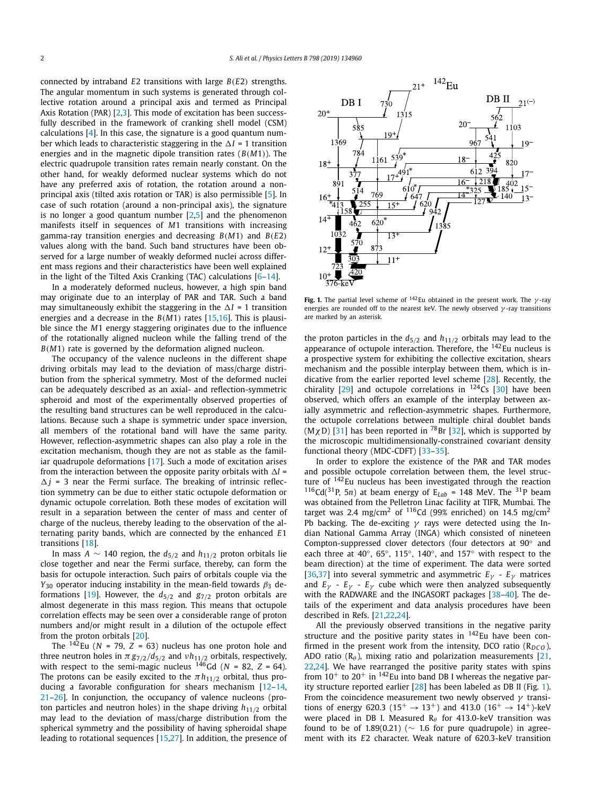connected by intraband *E*2 transitions with large *B*(*E*2) strengths. The angular momentum in such systems is generated through collective rotation around a principal axis and termed as Principal Axis Rotation (PAR) [2,3]. This mode of excitation has been successfully described in the framework of cranking shell model (CSM) calculations [4]. In this case, the signature is a good quantum number which leads to characteristic staggering in the  $\Delta I$  = 1 transition energies and in the magnetic dipole transition rates (*B*(*M*1)). The electric quadrupole transition rates remain nearly constant. On the other hand, for weakly deformed nuclear systems which do not have any preferred axis of rotation, the rotation around a nonprincipal axis (tilted axis rotation or TAR) is also permissible [5]. In case of such rotation (around a non-principal axis), the signature is no longer a good quantum number  $[2,5]$  and the phenomenon manifests itself in sequences of *M*1 transitions with increasing gamma-ray transition energies and decreasing *B*(*M*1) and *B*(*E*2) values along with the band. Such band structures have been observed for a large number of weakly deformed nuclei across different mass regions and their characteristics have been well explained in the light of the Tilted Axis Cranking (TAC) calculations [6–14].

In a moderately deformed nucleus, however, a high spin band may originate due to an interplay of PAR and TAR. Such a band may simultaneously exhibit the staggering in the  $\Delta I$  = 1 transition energies and a decrease in the *B*(*M*1) rates [15,16]. This is plausible since the *M*1 energy staggering originates due to the influence of the rotationally aligned nucleon while the falling trend of the *B*(*M*1) rate is governed by the deformation aligned nucleon.

The occupancy of the valence nucleons in the different shape driving orbitals may lead to the deviation of mass/charge distribution from the spherical symmetry. Most of the deformed nuclei can be adequately described as an axial- and reflection-symmetric spheroid and most of the experimentally observed properties of the resulting band structures can be well reproduced in the calculations. Because such a shape is symmetric under space inversion, all members of the rotational band will have the same parity. However, reflection-asymmetric shapes can also play a role in the excitation mechanism, though they are not as stable as the familiar quadrupole deformations [17]. Such a mode of excitation arises from the interaction between the opposite parity orbitals with  $\Delta l$  =  $\Delta j$  = 3 near the Fermi surface. The breaking of intrinsic reflection symmetry can be due to either static octupole deformation or dynamic octupole correlation. Both these modes of excitation will result in a separation between the center of mass and center of charge of the nucleus, thereby leading to the observation of the alternating parity bands, which are connected by the enhanced *E*1 transitions [18].

In mass *A* ∼ 140 region, the  $d_{5/2}$  and  $h_{11/2}$  proton orbitals lie close together and near the Fermi surface, thereby, can form the basis for octupole interaction. Such pairs of orbitals couple via the  $Y_{30}$  operator inducing instability in the mean-field towards  $\beta_3$  deformations [19]. However, the  $d_{5/2}$  and  $g_{7/2}$  proton orbitals are almost degenerate in this mass region. This means that octupole correlation effects may be seen over a considerable range of proton numbers and/or might result in a dilution of the octupole effect from the proton orbitals [20].

The  $142$ Eu (*N* = 79, *Z* = 63) nucleus has one proton hole and three neutron holes in  $\pi\,g_{7/2}/d_{5/2}$  and  $vh_{11/2}$  orbitals, respectively, with respect to the semi-magic nucleus  $^{146}$ Gd (*N* = 82, *Z* = 64). The protons can be easily excited to the  $\pi h_{11/2}$  orbital, thus producing a favorable configuration for shears mechanism [12–14, 21–26]. In conjunction, the occupancy of valence nucleons (proton particles and neutron holes) in the shape driving  $h_{11/2}$  orbital may lead to the deviation of mass/charge distribution from the spherical symmetry and the possibility of having spheroidal shape leading to rotational sequences [15,27]. In addition, the presence of



**Fig. 1.** The partial level scheme of  $142$ Eu obtained in the present work. The  $\gamma$ -ray energies are rounded off to the nearest keV. The newly observed  $\gamma$ -ray transitions are marked by an asterisk.

the proton particles in the  $d_{5/2}$  and  $h_{11/2}$  orbitals may lead to the appearance of octupole interaction. Therefore, the <sup>142</sup>Eu nucleus is a prospective system for exhibiting the collective excitation, shears mechanism and the possible interplay between them, which is indicative from the earlier reported level scheme [28]. Recently, the chirality [29] and octupole correlations in  $^{124}$ Cs [30] have been observed, which offers an example of the interplay between axially asymmetric and reflection-asymmetric shapes. Furthermore, the octupole correlations between multiple chiral doublet bands  $(M\chi D)$  [31] has been reported in <sup>78</sup>Br [32], which is supported by the microscopic multidimensionally-constrained covariant density functional theory (MDC-CDFT) [33–35].

In order to explore the existence of the PAR and TAR modes and possible octupole correlation between them, the level structure of <sup>142</sup>Eu nucleus has been investigated through the reaction <sup>116</sup>Cd(<sup>31</sup>P, 5*n*) at beam energy of  $E_{Lab}$  = 148 MeV. The <sup>31</sup>P beam was obtained from the Pelletron Linac facility at TIFR, Mumbai. The target was 2.4 mg/cm<sup>2</sup> of  $116$ Cd (99% enriched) on 14.5 mg/cm<sup>2</sup> Pb backing. The de-exciting  $\gamma$  rays were detected using the Indian National Gamma Array (INGA) which consisted of nineteen Compton-suppressed clover detectors (four detectors at 90◦ and each three at 40°, 65°, 115°, 140°, and 157° with respect to the beam direction) at the time of experiment. The data were sorted [36,37] into several symmetric and asymmetric *E*γ - *E*γ matrices and  $E_{\gamma}$  -  $E_{\gamma}$  -  $E_{\gamma}$  cube which were then analyzed subsequently with the RADWARE and the INGASORT packages [38–40]. The details of the experiment and data analysis procedures have been described in Refs. [21,22,24].

All the previously observed transitions in the negative parity structure and the positive parity states in  $142$  Eu have been confirmed in the present work from the intensity, DCO ratio  $(R_{DCO})$ , ADO ratio ( $R_{\theta}$ ), mixing ratio and polarization measurements [21, 22,24]. We have rearranged the positive parity states with spins from  $10^{+}$  to  $20^{+}$  in  $142$  Eu into band DB I whereas the negative parity structure reported earlier [28] has been labeled as DB II (Fig. 1). From the coincidence measurement two newly observed  $\gamma$  transitions of energy 620.3 ( $15^+ \rightarrow 13^+$ ) and 413.0 ( $16^+ \rightarrow 14^+$ )-keV were placed in DB I. Measured  $R_\theta$  for 413.0-keV transition was found to be of 1.89(0.21) ( $\sim$  1.6 for pure quadrupole) in agreement with its *E*2 character. Weak nature of 620.3-keV transition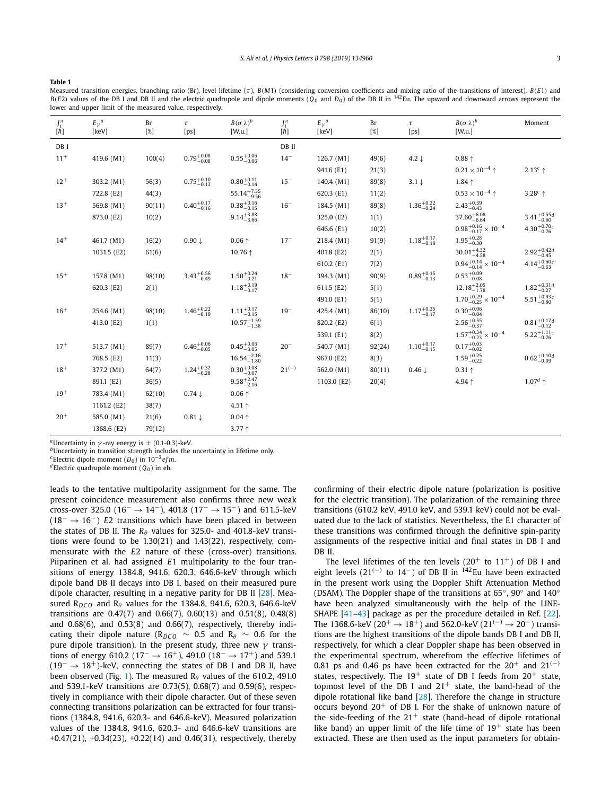**Table 1**

Measured transition energies, branching ratio (Br), level lifetime (τ ), *B*(*M*1) (considering conversion coefficients and mixing ratio of the transitions of interest), *B*(*E*1) and  $B(E2)$  values of the DB I and DB II and the electric quadrupole and dipole moments ( $\ddot{O}_0$  and  $D_0$ ) of the DB II in <sup>142</sup>Eu. The upward and downward arrows represent the lower and upper limit of the measured value, respectively.

| $J_i^{\pi}$<br>$[\bar{\hbar}]$ | $E_{\gamma}^a$<br>[keV] | Br<br>$[\%]$ | τ<br>[ps]              | $B(\sigma \lambda)^b$<br>[W.u.] | $J_i^\pi$<br>$[\hbar] % \centering \includegraphics[width=0.9\columnwidth]{figures/fig_10.pdf} \caption{The figure shows the number of parameters in the left and right.} \label{fig:time} %$ | $E_{\gamma}^a$<br>[keV] | Br<br>$[\%]$ | τ<br>[ps]              | $B(\sigma \lambda)^b$<br>[W.u.]     | Moment                           |
|--------------------------------|-------------------------|--------------|------------------------|---------------------------------|-----------------------------------------------------------------------------------------------------------------------------------------------------------------------------------------------|-------------------------|--------------|------------------------|-------------------------------------|----------------------------------|
| DB I                           |                         |              |                        |                                 | DB II                                                                                                                                                                                         |                         |              |                        |                                     |                                  |
| $11+$                          | 419.6 (M1)              | 100(4)       | $0.79^{+0.08}_{-0.08}$ | $0.55^{+0.06}_{-0.06}$          | $14 -$                                                                                                                                                                                        | 126.7 (M1)              | 49(6)        | 4.2 $\downarrow$       | $0.88 \uparrow$                     |                                  |
|                                |                         |              |                        |                                 |                                                                                                                                                                                               | 941.6 (E1)              | 21(3)        |                        | $0.21 \times 10^{-4}$ ↑             | $2.13c$ ↑                        |
| $12^{+}$                       | 303.2 (M1)              | 56(3)        | $0.75^{+0.10}_{-0.13}$ | $0.80^{+0.11}_{-0.14}$          | $15 -$                                                                                                                                                                                        | 140.4 (M1)              | 89(8)        | $3.1 \downarrow$       | $1.84 \uparrow$                     |                                  |
|                                | 722.8 (E2)              | 44(3)        |                        | $55.14^{+7.35}_{-9.56}$         |                                                                                                                                                                                               | 620.3 (E1)              | 11(2)        |                        | $0.53 \times 10^{-4}$ ↑             | $3.28c$ 1                        |
| $13+$                          | 569.8 (M1)              | 90(11)       | $0.40^{+0.17}_{-0.16}$ | $0.38^{+0.16}_{-0.15}$          | $16 -$                                                                                                                                                                                        | 184.5 (M1)              | 89(8)        | $1.36^{+0.22}_{-0.24}$ | $2.43_{-0.43}^{+0.39}$              |                                  |
|                                | 873.0 (E2)              | 10(2)        |                        | $9.14_{-3.66}^{+3.88}$          |                                                                                                                                                                                               | 325.0 (E2)              | 1(1)         |                        | $37.60^{+6.08}_{-6.64}$             | $3.41^{+0.55d}_{-0.60}$          |
|                                |                         |              |                        |                                 |                                                                                                                                                                                               | 646.6 (E1)              | 10(2)        |                        | $0.98^{+0.16}_{-0.17}\times10^{-4}$ | $4.30^{+0.70_c}_{-0.76}$         |
| $14^{+}$                       | 461.7 (M1)              | 16(2)        | $0.90 \downarrow$      | $0.06 \uparrow$                 | $17 -$                                                                                                                                                                                        | 218.4 (M1)              | 91(9)        | $1.18^{+0.17}_{-0.18}$ | $1.95_{-0.30}^{+0.28}$              |                                  |
|                                | 1031.5 (E2)             | 61(6)        |                        | 10.76 ↑                         |                                                                                                                                                                                               | 401.8 (E2)              | 2(1)         |                        | $30.01_{-4.58}^{+4.32}$             | $2.92^{+0.42}_{-0.45}$           |
|                                |                         |              |                        |                                 |                                                                                                                                                                                               | 610.2 (E1)              | 7(2)         |                        | $0.94^{+0.14}_{-0.14}\times10^{-4}$ | $4.14^{+0.60}_{-0.63}$           |
| $15+$                          | 157.8 (M1)              | 98(10)       | $3.43^{+0.56}_{-0.49}$ | $1.50^{+0.24}_{-0.21}$          | $18 -$                                                                                                                                                                                        | 394.3 (M1)              | 90(9)        | $0.89^{+0.15}_{-0.13}$ | $0.53^{+0.09}_{-0.08}$              |                                  |
|                                | 620.3 (E2)              | 2(1)         |                        | $1.18^{+0.19}_{-0.17}$          |                                                                                                                                                                                               | 611.5 (E2)              | 5(1)         |                        | $12.18^{+2.05}_{-1.78}$             | $1.82^{+0.31d}_{-0.27}$          |
|                                |                         |              |                        |                                 |                                                                                                                                                                                               | 491.0 (E1)              | 5(1)         |                        | $1.70^{+0.29}_{-0.25}\times10^{-4}$ | $5.51^{+0.93}_{-0.80}$           |
| $16+$                          | 254.6 (M1)              | 98(10)       | $1.46^{+0.22}_{-0.19}$ | $1.11^{+0.17}_{-0.15}$          | $19 -$                                                                                                                                                                                        | 425.4 (M1)              | 86(10)       | $1.17^{+0.25}_{-0.17}$ | $0.30^{+0.06}_{-0.04}$              |                                  |
|                                | 413.0 (E2)              | 1(1)         |                        | $10.57^{+1.59}_{-1.38}$         |                                                                                                                                                                                               | 820.2 (E2)              | 6(1)         |                        | $2.56^{+0.55}_{-0.37}$              | $0.81 \substack{+0.17 \\ -0.12}$ |
|                                |                         |              |                        |                                 |                                                                                                                                                                                               | 539.1 (E1)              | 8(2)         |                        | $1.57^{+0.34}_{-0.23}\times10^{-4}$ | $5.22^{+1.11_c}_{-0.76}$         |
| $17+$                          | 513.7 (M1)              | 89(7)        | $0.46^{+0.06}_{-0.05}$ | $0.45^{+0.06}_{-0.05}$          | $20 -$                                                                                                                                                                                        | 540.7 (M1)              | 92(24)       | $1.10^{+0.17}_{-0.15}$ | $0.17^{+0.03}_{-0.02}$              |                                  |
|                                | 768.5 (E2)              | 11(3)        |                        | $16.54^{+2.16}_{-1.80}$         |                                                                                                                                                                                               | 967.0 (E2)              | 8(3)         |                        | $1.59_{-0.22}^{+0.25}$              | $0.62^{+0.10d}_{-0.09}$          |
| $18+$                          | 377.2 (M1)              | 64(7)        | $1.24_{-0.28}^{+0.32}$ | $0.30^{+0.08}_{-0.07}$          | $21^{(-)}$                                                                                                                                                                                    | 562.0 (M1)              | 80(11)       | $0.46 \downarrow$      | $0.31 \uparrow$                     |                                  |
|                                | 891.1 (E2)              | 36(5)        |                        | $9.58^{+2.47}_{-2.16}$          |                                                                                                                                                                                               | 1103.0 (E2)             | 20(4)        |                        | 4.94 ↑                              | $1.07^d$ ↑                       |
| $19+$                          | 783.4 (M1)              | 62(10)       | $0.74 \downarrow$      | $0.06 \uparrow$                 |                                                                                                                                                                                               |                         |              |                        |                                     |                                  |
|                                | 1161.2 (E2)             | 38(7)        |                        | 4.51 $\uparrow$                 |                                                                                                                                                                                               |                         |              |                        |                                     |                                  |
| $20+$                          | 585.0 (M1)              | 21(6)        | $0.81 \downarrow$      | $0.04 \uparrow$                 |                                                                                                                                                                                               |                         |              |                        |                                     |                                  |
|                                | 1368.6 (E2)             | 79(12)       |                        | $3.77 +$                        |                                                                                                                                                                                               |                         |              |                        |                                     |                                  |

*a*Uncertainty in  $\gamma$ -ray energy is  $\pm$  (0.1-0.3)-keV.

*<sup>b</sup>*Uncertainty in transition strength includes the uncertainty in lifetime only.

*<sup>c</sup>*Electric dipole moment (*D*0) in 10−<sup>2</sup> *efm*.

*<sup>d</sup>*Electric quadrupole moment (*Q*0) in eb.

leads to the tentative multipolarity assignment for the same. The present coincidence measurement also confirms three new weak cross-over 325.0 (16<sup>-</sup> → 14<sup>-</sup>), 401.8 (17<sup>-</sup> → 15<sup>-</sup>) and 611.5-keV (18<sup>−</sup> → 16−) *E*2 transitions which have been placed in between the states of DB II. The  $R_{\theta}$  values for 325.0- and 401.8-keV transitions were found to be 1.30(21) and 1.43(22), respectively, commensurate with the *E*2 nature of these (cross-over) transitions. Piiparinen et al. had assigned *E*1 multipolarity to the four transitions of energy 1384.8, 941.6, 620.3, 646.6-keV through which dipole band DB II decays into DB I, based on their measured pure dipole character, resulting in a negative parity for DB II [28]. Measured R<sub>DCO</sub> and R<sub> $\theta$ </sub> values for the 1384.8, 941.6, 620.3, 646.6-keV transitions are 0.47(7) and 0.66(7), 0.60(13) and 0.51(8), 0.48(8) and 0.68(6), and 0.53(8) and 0.66(7), respectively, thereby indicating their dipole nature ( $R_{DCO} \sim 0.5$  and  $R_{\theta} \sim 0.6$  for the pure dipole transition). In the present study, three new  $\gamma$  transitions of energy 610.2 (17<sup>-</sup> → 16<sup>+</sup>), 491.0 (18<sup>-</sup> → 17<sup>+</sup>) and 539.1 (19<sup>−</sup> → 18+)-keV, connecting the states of DB I and DB II, have been observed (Fig. 1). The measured  $R_\theta$  values of the 610.2, 491.0 and 539.1-keV transitions are 0.73(5), 0.68(7) and 0.59(6), respectively in compliance with their dipole character. Out of these seven connecting transitions polarization can be extracted for four transitions (1384.8, 941.6, 620.3- and 646.6-keV). Measured polarization values of the 1384.8, 941.6, 620.3- and 646.6-keV transitions are  $+0.47(21)$ ,  $+0.34(23)$ ,  $+0.22(14)$  and  $0.46(31)$ , respectively, thereby confirming of their electric dipole nature (polarization is positive for the electric transition). The polarization of the remaining three transitions (610.2 keV, 491.0 keV, and 539.1 keV) could not be evaluated due to the lack of statistics. Nevertheless, the E1 character of these transitions was confirmed through the definitive spin-parity assignments of the respective initial and final states in DB I and DB II.

The level lifetimes of the ten levels  $(20<sup>+</sup>$  to  $11<sup>+</sup>$ ) of DB I and eight levels (21<sup>(-)</sup> to 14<sup>-</sup>) of DB II in <sup>142</sup>Eu have been extracted in the present work using the Doppler Shift Attenuation Method (DSAM). The Doppler shape of the transitions at 65°, 90° and 140° have been analyzed simultaneously with the help of the LINE-SHAPE [41–43] package as per the procedure detailed in Ref. [22]. The 1368.6-keV (20<sup>+</sup> → 18<sup>+</sup>) and 562.0-keV (21<sup>(-)</sup> → 20<sup>-</sup>) transitions are the highest transitions of the dipole bands DB I and DB II, respectively, for which a clear Doppler shape has been observed in the experimental spectrum, wherefrom the effective lifetimes of 0.81 ps and 0.46 ps have been extracted for the  $20^+$  and  $21^{(-)}$ states, respectively. The  $19^+$  state of DB I feeds from  $20^+$  state, topmost level of the DB I and  $21^+$  state, the band-head of the dipole rotational like band [28]. Therefore the change in structure occurs beyond  $20<sup>+</sup>$  of DB I. For the shake of unknown nature of the side-feeding of the  $21<sup>+</sup>$  state (band-head of dipole rotational like band) an upper limit of the life time of  $19<sup>+</sup>$  state has been extracted. These are then used as the input parameters for obtain-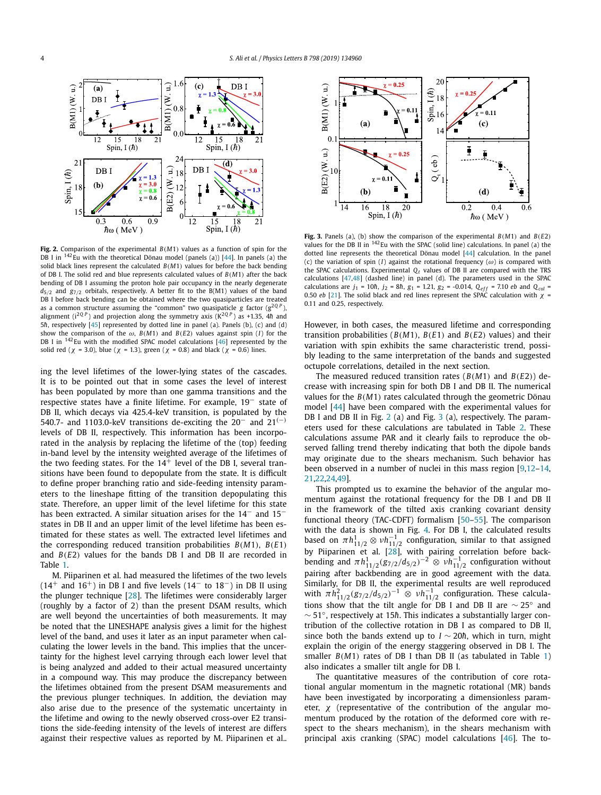

**Fig. 2.** Comparison of the experimental *B*(*M*1) values as a function of spin for the DB I in  $142$ Eu with the theoretical Dönau model (panels (a)) [44]. In panels (a) the solid black lines represent the calculated  $B(M1)$  values for before the back bending of DB I. The solid red and blue represents calculated values of *B*(*M*1) after the back bending of DB I assuming the proton hole pair occupancy in the nearly degenerate  $d_{5/2}$  and  $g_{7/2}$  orbitals, respectively. A better fit to the B(M1) values of the band DB I before back bending can be obtained where the two quasiparticles are treated as a common structure assuming the "common" two quasipaticle *g* factor  $(g^{2QP})$ , alignment ( $i^{2QP}$ ) and projection along the symmetry axis ( $K^{2QP}$ ) as +1.35, 4*h* and 5*h*, respectively [45] represented by dotted line in panel (a). Panels (b), (c) and (d) show the comparison of the  $\omega$ , *B*(*M*1) and *B*(*E*2) values against spin (*I*) for the DB I in  $142$  Eu with the modified SPAC model calculations  $[46]$  represented by the solid red ( $\chi$  = 3.0), blue ( $\chi$  = 1.3), green ( $\chi$  = 0.8) and black ( $\chi$  = 0.6) lines.

ing the level lifetimes of the lower-lying states of the cascades. It is to be pointed out that in some cases the level of interest has been populated by more than one gamma transitions and the respective states have a finite lifetime. For example, 19<sup>−</sup> state of DB II, which decays via 425.4-keV transition, is populated by the 540.7- and 1103.0-keV transitions de-exciting the 20<sup>−</sup> and 21(−) levels of DB II, respectively. This information has been incorporated in the analysis by replacing the lifetime of the (top) feeding in-band level by the intensity weighted average of the lifetimes of the two feeding states. For the  $14<sup>+</sup>$  level of the DB I, several transitions have been found to depopulate from the state. It is difficult to define proper branching ratio and side-feeding intensity parameters to the lineshape fitting of the transition depopulating this state. Therefore, an upper limit of the level lifetime for this state has been extracted. A similar situation arises for the 14<sup>-</sup> and 15<sup>-</sup> states in DB II and an upper limit of the level lifetime has been estimated for these states as well. The extracted level lifetimes and the corresponding reduced transition probabilities *B*(*M*1), *B*(*E*1) and *B*(*E*2) values for the bands DB I and DB II are recorded in Table 1.

M. Piiparinen et al. had measured the lifetimes of the two levels  $(14<sup>+</sup>$  and  $16<sup>+</sup>$ ) in DB I and five levels  $(14<sup>-</sup>$  to  $18<sup>-</sup>)$  in DB II using the plunger technique [28]. The lifetimes were considerably larger (roughly by a factor of 2) than the present DSAM results, which are well beyond the uncertainties of both measurements. It may be noted that the LINESHAPE analysis gives a limit for the highest level of the band, and uses it later as an input parameter when calculating the lower levels in the band. This implies that the uncertainty for the highest level carrying through each lower level that is being analyzed and added to their actual measured uncertainty in a compound way. This may produce the discrepancy between the lifetimes obtained from the present DSAM measurements and the previous plunger techniques. In addition, the deviation may also arise due to the presence of the systematic uncertainty in the lifetime and owing to the newly observed cross-over E2 transitions the side-feeding intensity of the levels of interest are differs against their respective values as reported by M. Piiparinen et al..



**Fig. 3.** Panels (a), (b) show the comparison of the experimental  $B(M1)$  and  $B(E2)$ values for the DB II in  $^{142}$ Eu with the SPAC (solid line) calculations. In panel (a) the dotted line represents the theoretical Dönau model [44] calculation. In the panel (c) the variation of spin  $(I)$  against the rotational frequency  $(\omega)$  is compared with the SPAC calculations. Experimental *Q<sup>t</sup>* values of DB II are compared with the TRS calculations [47,48] (dashed line) in panel (d). The parameters used in the SPAC calculations are  $j_1 = 10\hbar$ ,  $j_2 = 8\hbar$ ,  $g_1 = 1.21$ ,  $g_2 = -0.014$ ,  $Q_{eff} = 7.10$  *eb* and  $Q_{col} =$ 0.50 *eb* [21]. The solid black and red lines represent the SPAC calculation with  $\chi$  = 0.11 and 0.25, respectively.

However, in both cases, the measured lifetime and corresponding transition probabilities ( $B(M1)$ ,  $B(E1)$  and  $B(E2)$  values) and their variation with spin exhibits the same characteristic trend, possibly leading to the same interpretation of the bands and suggested octupole correlations, detailed in the next section.

The measured reduced transition rates (*B*(*M*1) and *B*(*E*2)) decrease with increasing spin for both DB I and DB II. The numerical values for the *B*(*M*1) rates calculated through the geometric Dönau model [44] have been compared with the experimental values for DB I and DB II in Fig. 2 (a) and Fig. 3 (a), respectively. The parameters used for these calculations are tabulated in Table 2. These calculations assume PAR and it clearly fails to reproduce the observed falling trend thereby indicating that both the dipole bands may originate due to the shears mechanism. Such behavior has been observed in a number of nuclei in this mass region [9,12–14, 21,22,24,49].

This prompted us to examine the behavior of the angular momentum against the rotational frequency for the DB I and DB II in the framework of the tilted axis cranking covariant density functional theory (TAC-CDFT) formalism [50–55]. The comparison with the data is shown in Fig. 4. For DB I, the calculated results based on  $\pi h_{11/2}^1 \otimes \nu h_{11/2}^{-1}$  configuration, similar to that assigned by Piiparinen et al. [28], with pairing correlation before backbending and  $πh$ <sup>1</sup><sub>11/2</sub>(g<sub>7/2</sub>/d<sub>5/2</sub>)<sup>-2</sup> ⊗  $νh$ <sub>11/2</sub> configuration without pairing after backbending are in good agreement with the data. Similarly, for DB II, the experimental results are well reproduced with  $\pi h_{11/2}^2 (g_{7/2}/d_{5/2})^{-1} \otimes \nu h_{11/2}^{-1}$  configuration. These calculations show that the tilt angle for DB I and DB II are  $\sim$  25° and  $\sim$  51°, respectively at 15*h*. This indicates a substantially larger contribution of the collective rotation in DB I as compared to DB II, since both the bands extend up to  $I \sim 20\hbar$ , which in turn, might explain the origin of the energy staggering observed in DB I. The smaller *B*(*M*1) rates of DB I than DB II (as tabulated in Table 1) also indicates a smaller tilt angle for DB I.

The quantitative measures of the contribution of core rotational angular momentum in the magnetic rotational (MR) bands have been investigated by incorporating a dimensionless parameter, χ (representative of the contribution of the angular momentum produced by the rotation of the deformed core with respect to the shears mechanism), in the shears mechanism with principal axis cranking (SPAC) model calculations [46]. The to-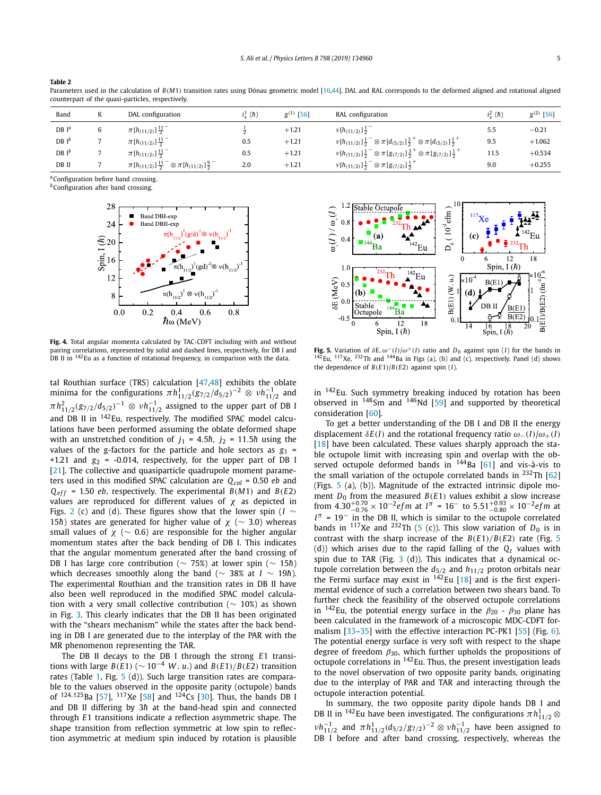|                 |   | counterpart of the quasi-particles, respectively. |             |                |                                                                                                            |           |                |
|-----------------|---|---------------------------------------------------|-------------|----------------|------------------------------------------------------------------------------------------------------------|-----------|----------------|
| Band            | ĸ | DAL configuration                                 | $i_x^1$ (h) | $g^{(1)}$ [56] | RAL configuration                                                                                          | $i^2$ (h) | $g^{(2)}$ [56] |
| $DBI^a$         | b | $\pi[h_{(11/2)}]\frac{11}{2}^{-1}$                |             | $+1.21$        | $v[h_{(11/2)}]\frac{1}{2}$                                                                                 | 5.5       | $-0.21$        |
| DB <sup>b</sup> |   | $\pi[h_{(11/2)}]\frac{11}{2}$                     | 0.5         | $+1.21$        | $v[h_{(11/2)}]\frac{1}{2}^{-} \otimes \pi[d_{(5/2)}]\frac{3}{2}^{+} \otimes \pi[d_{(5/2)}]\frac{1}{2}^{+}$ | 9.5       | $+1.062$       |
| $DB I^b$        |   | $\pi$ [ $h$ <sub>(11/2)</sub> ] $\frac{11}{2}$    | 0.5         | $+1.21$        | $v[h_{(11/2)}]\frac{1}{2}^{-} \otimes \pi[g_{(7/2)}]\frac{3}{2}^{+} \otimes \pi[g_{(7/2)}]\frac{1}{2}^{+}$ | 11.5      | $+0.534$       |

2.0 +1.21  $v[h_{(11/2)}]_2^{-1} \otimes \pi[g_{(7/2)}]_2^{-1}$ 

Parameters used in the calculation of  $B(M1)$  transition rates using Dönau geometric model [16,44]. DAL and RAL corresponds to the deformed aligned and rotational aligned

*<sup>a</sup>*Configuration before band crossing.

**DB II**  $\qquad \qquad 7 \qquad \qquad \pi \left[ h_{(11/2)} \right] \frac{11}{2}^- \otimes \pi \left[ h_{(11/2)} \right] \frac{9}{2}$ 

**Table 2**

*b*Configuration after band crossing.



−

**Fig. 4.** Total angular momenta calculated by TAC-CDFT including with and without pairing correlations, represented by solid and dashed lines, respectively, for DB I and DB II in <sup>142</sup>Eu as a function of rotational frequency, in comparison with the data.

tal Routhian surface (TRS) calculation [47,48] exhibits the oblate minima for the configurations  $\pi h_{11/2}^1 (g_{7/2}/d_{5/2})^{-2} \otimes \nu h_{11/2}^{-1}$  and  $\pi h_{11/2}^2 (g_{7/2}/d_{5/2})^{-1} \otimes \nu h_{11/2}^{-1}$  assigned to the upper part of DB I and DB II in <sup>142</sup>Eu, respectively. The modified SPAC model calculations have been performed assuming the oblate deformed shape with an unstretched condition of  $j_1 = 4.5\hbar$ ,  $j_2 = 11.5\hbar$  using the values of the g-factors for the particle and hole sectors as  $g_1$  = +1.21 and  $g_2$  = -0.014, respectively, for the upper part of DB I [21]. The collective and quasiparticle quadrupole moment parameters used in this modified SPAC calculation are *Qcol* = 0.50 *eb* and  $Q_{eff}$  = 1.50 *eb*, respectively. The experimental *B*(*M*1) and *B*(*E*2) values are reproduced for different values of  $\chi$  as depicted in Figs. 2 (c) and (d). These figures show that the lower spin (*I* ∼ 15*h*) states are generated for higher value of  $\chi$  ( $\sim$  3.0) whereas small values of  $\chi$  ( $\sim$  0.6) are responsible for the higher angular momentum states after the back bending of DB I. This indicates that the angular momentum generated after the band crossing of DB I has large core contribution (∼ 75%) at lower spin (∼ 15*h*) which decreases smoothly along the band ( $\sim$  38% at *I*  $\sim$  19*h*). The experimental Routhian and the transition rates in DB II have also been well reproduced in the modified SPAC model calculation with a very small collective contribution (∼ 10%) as shown in Fig. 3. This clearly indicates that the DB II has been originated with the "shears mechanism" while the states after the back bending in DB I are generated due to the interplay of the PAR with the MR phenomenon representing the TAR.

The DB II decays to the DB I through the strong *E*1 transitions with large *B*( $E$ 1) ( $\sim 10^{-4}$  *W*. *u*.) and *B*( $E$ 1)/*B*( $E$ 2) transition rates (Table 1, Fig. 5 (d)). Such large transition rates are comparable to the values observed in the opposite parity (octupole) bands of  $^{124,125}$ Ba [57],  $^{117}$ Xe [58] and  $^{124}$ Cs [30]. Thus, the bands DB I and DB II differing by 3h at the band-head spin and connected through *E*1 transitions indicate a reflection asymmetric shape. The shape transition from reflection symmetric at low spin to reflection asymmetric at medium spin induced by rotation is plausible



+

**Fig. 5.** Variation of  $\delta E$ ,  $\omega^{-}(I)/\omega^{+}(I)$  ratio and  $D_0$  against spin (*I*) for the bands in  $^{142}$ Eu,  $^{117}$ Xe,  $^{232}$ Th and  $^{144}$ Ba in Figs (a), (b) and (c), respectively. Panel (d) shows the dependence of *B*(*E*1)/*B*(*E*2) against spin (*I*).

in <sup>142</sup>Eu. Such symmetry breaking induced by rotation has been observed in  $148$ Sm and  $146$ Nd [59] and supported by theoretical consideration [60].

To get a better understanding of the DB I and DB II the energy displacement  $\delta E(I)$  and the rotational frequency ratio  $\omega_{-}(I)/\omega_{+}(I)$  $[18]$  have been calculated. These values sharply approach the stable octupole limit with increasing spin and overlap with the observed octupole deformed bands in  $144$ Ba [61] and vis-à-vis to the small variation of the octupole correlated bands in  $^{232}$ Th [62] (Figs. 5 (a), (b)). Magnitude of the extracted intrinsic dipole moment  $D_0$  from the measured  $B(E1)$  values exhibit a slow increase from  $4.30^{+0.70}_{-0.76} \times 10^{-2}$ efm at  $I^{\pi}$  = 16<sup>-</sup> to  $5.51^{+0.93}_{-0.80} \times 10^{-2}$ efm at  $I^{\pi}$  = 19<sup>-</sup> in the DB II, which is similar to the octupole correlated bands in  $117$ Xe and  $232$ Th (5 (c)). This slow variation of  $D_0$  is in contrast with the sharp increase of the *B*(*E*1)/*B*(*E*2) rate (Fig. 5 (d)) which arises due to the rapid falling of the *Q<sup>t</sup>* values with spin due to TAR (Fig.  $3$  (d)). This indicates that a dynamical octupole correlation between the *d*5/<sup>2</sup> and *h*11/<sup>2</sup> proton orbitals near the Fermi surface may exist in  $142$  Eu [18] and is the first experimental evidence of such a correlation between two shears band. To further check the feasibility of the observed octupole correlations in  $^{142}$ Eu, the potential energy surface in the  $\beta_{20}$  -  $\beta_{30}$  plane has been calculated in the framework of a microscopic MDC-CDFT formalism [33–35] with the effective interaction PC-PK1 [55] (Fig. 6). The potential energy surface is very soft with respect to the shape degree of freedom  $\beta_{30}$ , which further upholds the propositions of octupole correlations in <sup>142</sup>Eu. Thus, the present investigation leads to the novel observation of two opposite parity bands, originating due to the interplay of PAR and TAR and interacting through the octupole interaction potential.

In summary, the two opposite parity dipole bands DB I and DB II in  $^{142}$ Eu have been investigated. The configurations  $\pi h_{11/2}^1\otimes$  $v h_{11/2}^{-1}$  and  $π h_{11/2}^{1}(d_{5/2}/g_{7/2})^{-2} ⊗ ν h_{11/2}^{-1}$  have been assigned to DB I before and after band crossing, respectively, whereas the

9.0  $+0.255$